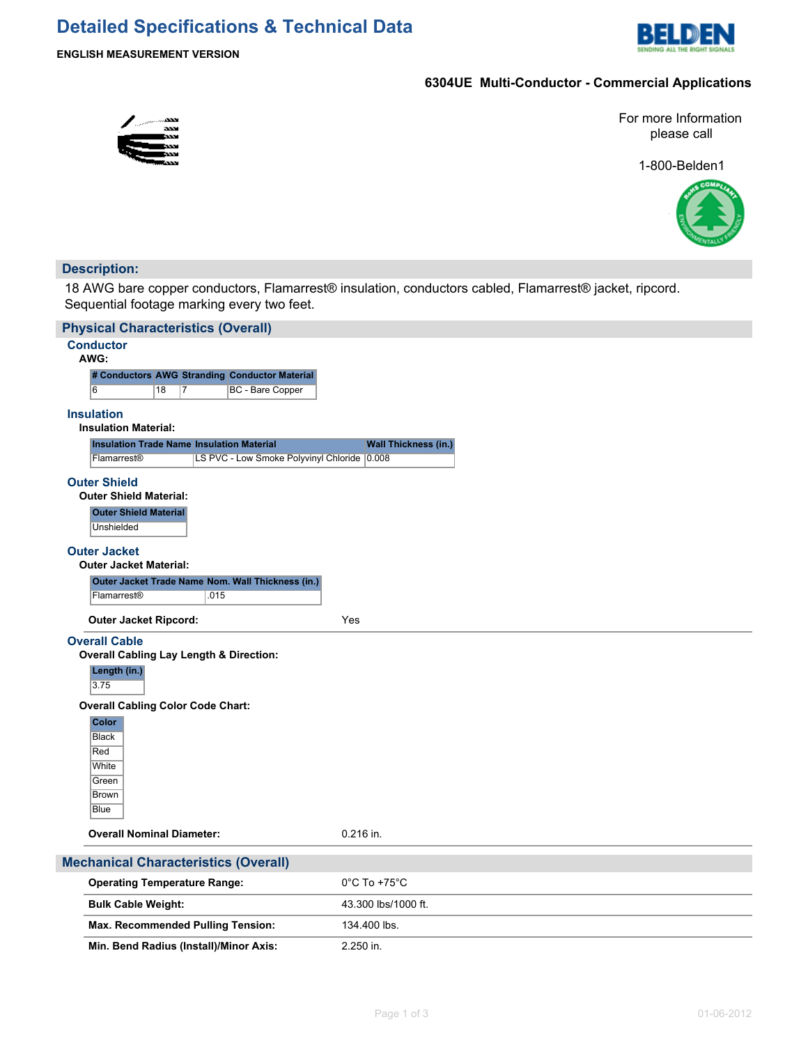# **Detailed Specifications & Technical Data**



# **6304UE Multi-Conductor - Commercial Applications**

For more Information please call

1-800-Belden1



# **Description:**

18 AWG bare copper conductors, Flamarrest® insulation, conductors cabled, Flamarrest® jacket, ripcord. Sequential footage marking every two feet.

| <b>Physical Characteristics (Overall)</b>                                                                                                                                                                                       |                                   |
|---------------------------------------------------------------------------------------------------------------------------------------------------------------------------------------------------------------------------------|-----------------------------------|
| <b>Conductor</b>                                                                                                                                                                                                                |                                   |
| AWG:                                                                                                                                                                                                                            |                                   |
| # Conductors AWG Stranding Conductor Material<br>6<br>18<br>17<br>BC - Bare Copper                                                                                                                                              |                                   |
|                                                                                                                                                                                                                                 |                                   |
| <b>Insulation</b><br><b>Insulation Material:</b>                                                                                                                                                                                |                                   |
| <b>Insulation Trade Name Insulation Material</b>                                                                                                                                                                                | <b>Wall Thickness (in.)</b>       |
| LS PVC - Low Smoke Polyvinyl Chloride 0.008<br>Flamarrest <sup>®</sup>                                                                                                                                                          |                                   |
| <b>Outer Shield</b><br><b>Outer Shield Material:</b><br><b>Outer Shield Material</b><br>Unshielded                                                                                                                              |                                   |
| <b>Outer Jacket</b><br><b>Outer Jacket Material:</b>                                                                                                                                                                            |                                   |
| Outer Jacket Trade Name Nom. Wall Thickness (in.)                                                                                                                                                                               |                                   |
| Flamarrest®<br>.015                                                                                                                                                                                                             |                                   |
| <b>Outer Jacket Ripcord:</b>                                                                                                                                                                                                    | Yes                               |
| <b>Overall Cable</b><br><b>Overall Cabling Lay Length &amp; Direction:</b><br>Length (in.)<br>3.75<br><b>Overall Cabling Color Code Chart:</b><br><b>Color</b><br><b>Black</b><br>Red<br>White<br>Green<br><b>Brown</b><br>Blue |                                   |
| <b>Overall Nominal Diameter:</b>                                                                                                                                                                                                | 0.216 in.                         |
| <b>Mechanical Characteristics (Overall)</b>                                                                                                                                                                                     |                                   |
| <b>Operating Temperature Range:</b>                                                                                                                                                                                             | $0^{\circ}$ C To +75 $^{\circ}$ C |
| <b>Bulk Cable Weight:</b>                                                                                                                                                                                                       | 43.300 lbs/1000 ft.               |
| Max. Recommended Pulling Tension:                                                                                                                                                                                               | 134.400 lbs.                      |
| Min. Bend Radius (Install)/Minor Axis:                                                                                                                                                                                          | 2.250 in.                         |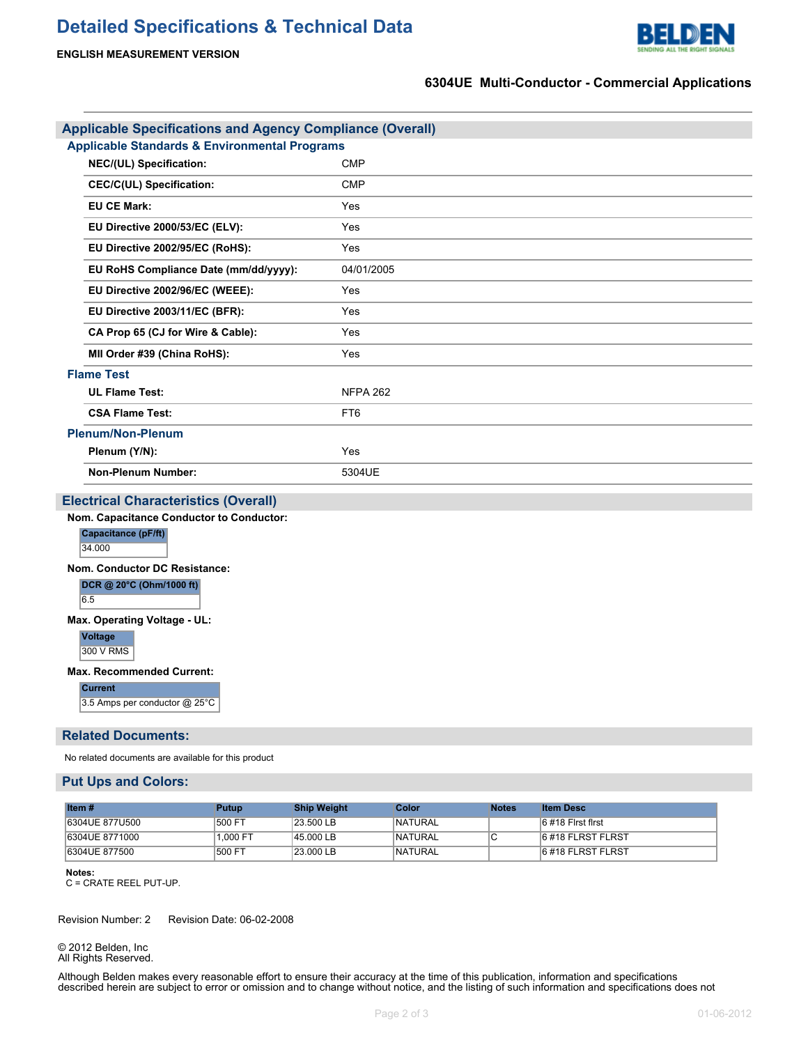

# **ENGLISH MEASUREMENT VERSION**

# **6304UE Multi-Conductor - Commercial Applications**

| <b>Applicable Specifications and Agency Compliance (Overall)</b> |                 |  |  |  |
|------------------------------------------------------------------|-----------------|--|--|--|
| <b>Applicable Standards &amp; Environmental Programs</b>         |                 |  |  |  |
| NEC/(UL) Specification:                                          | <b>CMP</b>      |  |  |  |
| <b>CEC/C(UL) Specification:</b>                                  | <b>CMP</b>      |  |  |  |
| <b>EU CE Mark:</b>                                               | Yes             |  |  |  |
| EU Directive 2000/53/EC (ELV):                                   | Yes             |  |  |  |
| EU Directive 2002/95/EC (RoHS):                                  | Yes             |  |  |  |
| EU RoHS Compliance Date (mm/dd/yyyy):                            | 04/01/2005      |  |  |  |
| EU Directive 2002/96/EC (WEEE):                                  | Yes             |  |  |  |
| EU Directive 2003/11/EC (BFR):                                   | Yes             |  |  |  |
| CA Prop 65 (CJ for Wire & Cable):                                | Yes             |  |  |  |
| MII Order #39 (China RoHS):                                      | Yes             |  |  |  |
| <b>Flame Test</b>                                                |                 |  |  |  |
| <b>UL Flame Test:</b>                                            | <b>NFPA 262</b> |  |  |  |
| <b>CSA Flame Test:</b>                                           | FT <sub>6</sub> |  |  |  |
| <b>Plenum/Non-Plenum</b>                                         |                 |  |  |  |
| Plenum (Y/N):                                                    | Yes             |  |  |  |
| <b>Non-Plenum Number:</b>                                        | 5304UE          |  |  |  |
| <b>Electrical Characteristics (Overall)</b>                      |                 |  |  |  |

**Nom. Capacitance Conductor to Conductor: Capacitance (pF/ft)** 34.000

#### **Nom. Conductor DC Resistance:**

**DCR @ 20°C (Ohm/1000 ft)** 6.5

#### **Max. Operating Voltage - UL:**

**Voltage**

300 V RMS

#### **Max. Recommended Current:**

**Current** 3.5 Amps per conductor @ 25°C

## **Related Documents:**

No related documents are available for this product

### **Put Ups and Colors:**

| Item $#$       | Putup    | <b>Ship Weight</b> | Color          | <b>Notes</b> | <b>Item Desc</b>    |
|----------------|----------|--------------------|----------------|--------------|---------------------|
| 6304UE 877U500 | 500 FT   | $23.500$ LB        | <b>NATURAL</b> |              | $6$ #18 First first |
| 6304UE 8771000 | 1.000 FT | 45.000 LB          | <b>NATURAL</b> |              | 6#18 FLRST FLRST    |
| 6304UE 877500  | 500 FT   | 23.000 LB          | <b>NATURAL</b> |              | 6#18 FLRST FLRST    |

#### **Notes:**

C = CRATE REEL PUT-UP.

Revision Number: 2 Revision Date: 06-02-2008

© 2012 Belden, Inc All Rights Reserved.

Although Belden makes every reasonable effort to ensure their accuracy at the time of this publication, information and specifications described herein are subject to error or omission and to change without notice, and the listing of such information and specifications does not